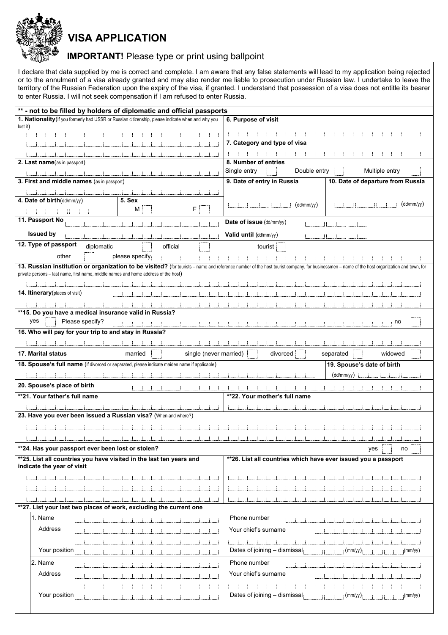VISA APPLICATION

## IMPORTANT! Please type or print using ballpoint

I declare that data supplied by me is correct and complete. I am aware that any false statements will lead to my application being rejected or to the annulment of a visa already granted and may also render me liable to prosecution under Russian law. I undertake to leave the territory of the Russian Federation upon the expiry of the visa, if granted. I understand that possession of a visa does not entitle its bearer to enter Russia. I will not seek compensation if I am refused to enter Russia.

| ** - not to be filled by holders of diplomatic and official passports                                                                                                                       |                                                                 |
|---------------------------------------------------------------------------------------------------------------------------------------------------------------------------------------------|-----------------------------------------------------------------|
| 1. Nationality (If you formerly had USSR or Russian citizenship, please indicate when and why you                                                                                           | 6. Purpose of visit                                             |
| lost it)                                                                                                                                                                                    |                                                                 |
|                                                                                                                                                                                             |                                                                 |
|                                                                                                                                                                                             | 7. Category and type of visa                                    |
|                                                                                                                                                                                             |                                                                 |
|                                                                                                                                                                                             | 8. Number of entries                                            |
| 2. Last name(as in passport)                                                                                                                                                                |                                                                 |
|                                                                                                                                                                                             | Single entry<br>Double entry<br>Multiple entry                  |
| 3. First and middle names (as in passport)                                                                                                                                                  | 9. Date of entry in Russia<br>10. Date of departure from Russia |
|                                                                                                                                                                                             |                                                                 |
| 4. Date of birth(dd/mm/yy)<br>5. Sex                                                                                                                                                        |                                                                 |
| F<br>M                                                                                                                                                                                      | (dd/mm/yy)<br>(dd/mm/yy)                                        |
|                                                                                                                                                                                             |                                                                 |
| 11. Passport No                                                                                                                                                                             | Date of issue (dd/mm/yy)                                        |
| <b>Issued by</b>                                                                                                                                                                            | Valid until (dd/mm/yy)                                          |
|                                                                                                                                                                                             |                                                                 |
| 12. Type of passport<br>diplomatic<br>official                                                                                                                                              | tourist                                                         |
| other<br>please specify                                                                                                                                                                     |                                                                 |
| 13. Russian institution or organization to be visited? (for tourists - name and reference number of the host tourist company, for businessmen - name of the host organization and town, for |                                                                 |
| private persons – last name, first name, middle names and home address of the host)                                                                                                         |                                                                 |
|                                                                                                                                                                                             |                                                                 |
|                                                                                                                                                                                             |                                                                 |
| 14. Itinerary (places of visit)                                                                                                                                                             |                                                                 |
|                                                                                                                                                                                             |                                                                 |
| **15. Do you have a medical insurance valid in Russia?                                                                                                                                      |                                                                 |
| yes<br>Please specify?                                                                                                                                                                      | no                                                              |
|                                                                                                                                                                                             |                                                                 |
| 16. Who will pay for your trip to and stay in Russia?                                                                                                                                       |                                                                 |
|                                                                                                                                                                                             |                                                                 |
| <b>17. Marital status</b><br>single (never married)<br>married                                                                                                                              | divorced<br>widowed<br>separated                                |
|                                                                                                                                                                                             |                                                                 |
|                                                                                                                                                                                             |                                                                 |
| 18. Spouse's full name (if divorced or separated, please indicate maiden name if applicable)                                                                                                | 19. Spouse's date of birth                                      |
|                                                                                                                                                                                             | (dd/mm/yy)<br>- 11                                              |
| 20. Spouse's place of birth                                                                                                                                                                 |                                                                 |
|                                                                                                                                                                                             |                                                                 |
| **21. Your father's full name                                                                                                                                                               | **22. Your mother's full name                                   |
|                                                                                                                                                                                             |                                                                 |
| 23. Have you ever been issued a Russian visa? (When and where?)                                                                                                                             |                                                                 |
|                                                                                                                                                                                             |                                                                 |
|                                                                                                                                                                                             |                                                                 |
|                                                                                                                                                                                             |                                                                 |
| **24. Has your passport ever been lost or stolen?                                                                                                                                           | yes<br>no                                                       |
| **25. List all countries you have visited in the last ten years and<br>indicate the year of visit                                                                                           | ** 26. List all countries which have ever issued you a passport |
|                                                                                                                                                                                             |                                                                 |
|                                                                                                                                                                                             |                                                                 |
|                                                                                                                                                                                             |                                                                 |
|                                                                                                                                                                                             |                                                                 |
| **27. List your last two places of work, excluding the current one                                                                                                                          |                                                                 |
| 1. Name                                                                                                                                                                                     | Phone number                                                    |
|                                                                                                                                                                                             |                                                                 |
| Address                                                                                                                                                                                     | Your chief's surname                                            |
|                                                                                                                                                                                             |                                                                 |
|                                                                                                                                                                                             |                                                                 |
| Your position                                                                                                                                                                               | Dates of joining - dismissal<br>(mm/yy)<br>(mm/yy)              |
| 2. Name                                                                                                                                                                                     | Phone number                                                    |
| Address                                                                                                                                                                                     | Your chief's surname                                            |
|                                                                                                                                                                                             |                                                                 |
| Your position                                                                                                                                                                               | Dates of joining - dismissal<br>(mm/yy)<br>(mm/yy)              |